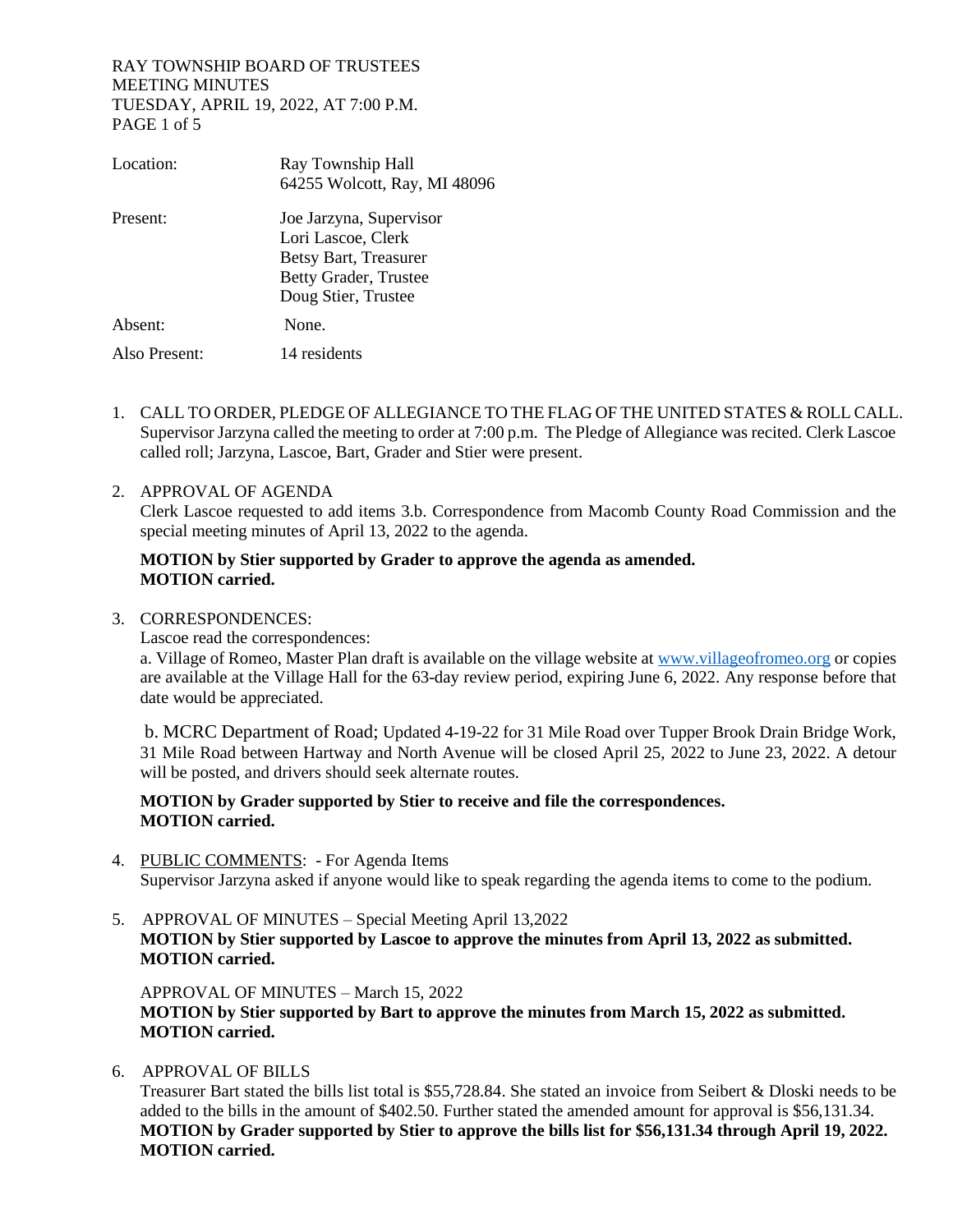# RAY TOWNSHIP BOARD OF TRUSTEES MEETING MINUTES TUESDAY, APRIL 19, 2022, AT 7:00 P.M. PAGE 1 of 5

| Location:     | Ray Township Hall<br>64255 Wolcott, Ray, MI 48096                                                                      |
|---------------|------------------------------------------------------------------------------------------------------------------------|
| Present:      | Joe Jarzyna, Supervisor<br>Lori Lascoe, Clerk<br>Betsy Bart, Treasurer<br>Betty Grader, Trustee<br>Doug Stier, Trustee |
| Absent:       | None.                                                                                                                  |
| Also Present: | 14 residents                                                                                                           |

1. CALL TO ORDER, PLEDGE OF ALLEGIANCE TO THE FLAG OF THE UNITED STATES & ROLL CALL. Supervisor Jarzyna called the meeting to order at 7:00 p.m. The Pledge of Allegiance was recited. Clerk Lascoe called roll; Jarzyna, Lascoe, Bart, Grader and Stier were present.

# 2. APPROVAL OF AGENDA

Clerk Lascoe requested to add items 3.b. Correspondence from Macomb County Road Commission and the special meeting minutes of April 13, 2022 to the agenda.

# **MOTION by Stier supported by Grader to approve the agenda as amended. MOTION carried.**

- 3. CORRESPONDENCES:
	- Lascoe read the correspondences:

a. Village of Romeo, Master Plan draft is available on the village website a[t www.villageofromeo.org](http://www.villageofromeo.org/) or copies are available at the Village Hall for the 63-day review period, expiring June 6, 2022. Any response before that date would be appreciated.

b. MCRC Department of Road; Updated 4-19-22 for 31 Mile Road over Tupper Brook Drain Bridge Work, 31 Mile Road between Hartway and North Avenue will be closed April 25, 2022 to June 23, 2022. A detour will be posted, and drivers should seek alternate routes.

# **MOTION by Grader supported by Stier to receive and file the correspondences. MOTION carried.**

- 4. PUBLIC COMMENTS: For Agenda Items Supervisor Jarzyna asked if anyone would like to speak regarding the agenda items to come to the podium.
- 5. APPROVAL OF MINUTES Special Meeting April 13,2022 **MOTION by Stier supported by Lascoe to approve the minutes from April 13, 2022 as submitted. MOTION carried.**

APPROVAL OF MINUTES – March 15, 2022 **MOTION by Stier supported by Bart to approve the minutes from March 15, 2022 as submitted. MOTION carried.**

6. APPROVAL OF BILLS

Treasurer Bart stated the bills list total is \$55,728.84. She stated an invoice from Seibert & Dloski needs to be added to the bills in the amount of \$402.50. Further stated the amended amount for approval is \$56,131.34. **MOTION by Grader supported by Stier to approve the bills list for \$56,131.34 through April 19, 2022. MOTION carried.**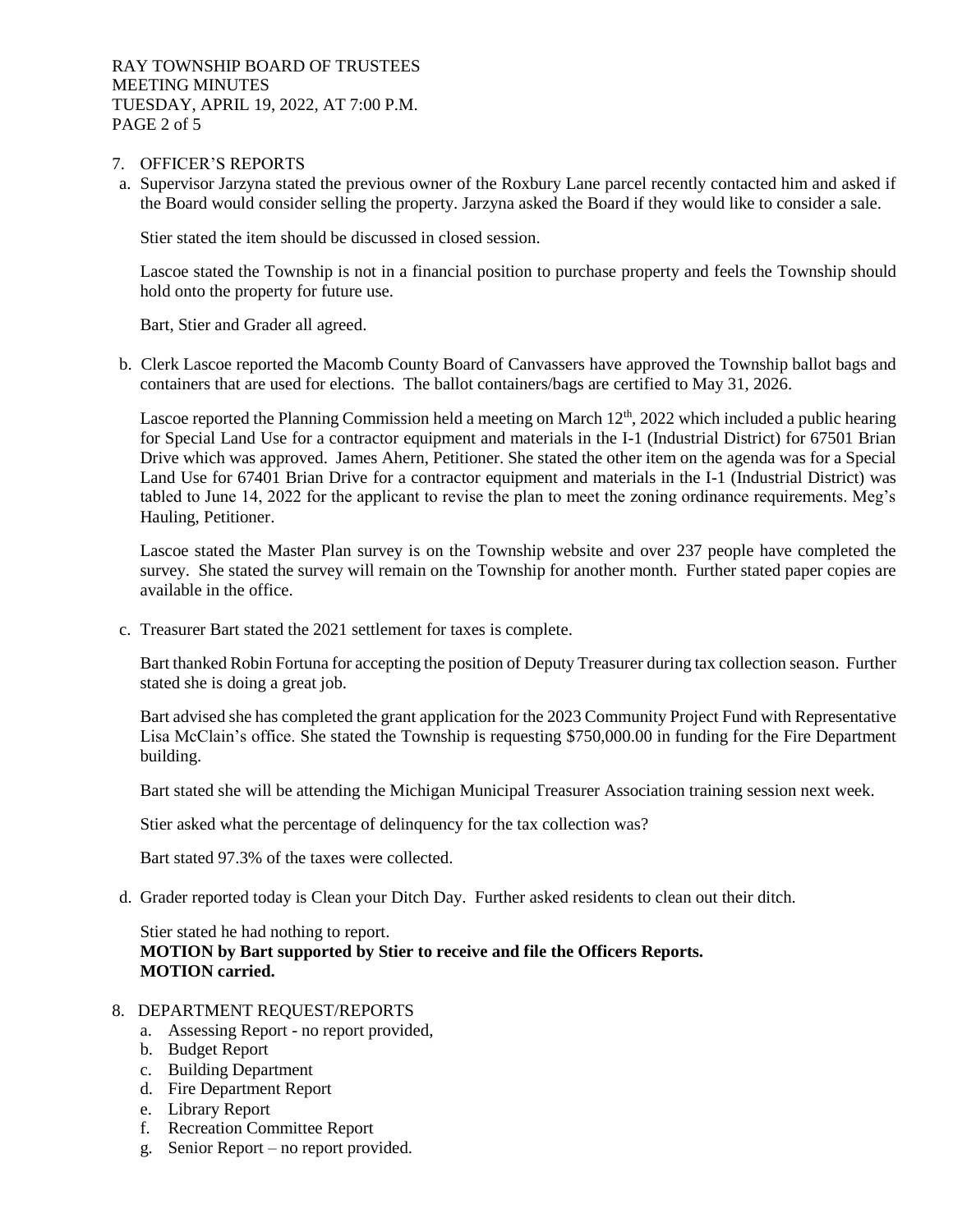- 7. OFFICER'S REPORTS
- a. Supervisor Jarzyna stated the previous owner of the Roxbury Lane parcel recently contacted him and asked if the Board would consider selling the property. Jarzyna asked the Board if they would like to consider a sale.

Stier stated the item should be discussed in closed session.

Lascoe stated the Township is not in a financial position to purchase property and feels the Township should hold onto the property for future use.

Bart, Stier and Grader all agreed.

b. Clerk Lascoe reported the Macomb County Board of Canvassers have approved the Township ballot bags and containers that are used for elections. The ballot containers/bags are certified to May 31, 2026.

Lascoe reported the Planning Commission held a meeting on March  $12<sup>th</sup>$ , 2022 which included a public hearing for Special Land Use for a contractor equipment and materials in the I-1 (Industrial District) for 67501 Brian Drive which was approved. James Ahern, Petitioner. She stated the other item on the agenda was for a Special Land Use for 67401 Brian Drive for a contractor equipment and materials in the I-1 (Industrial District) was tabled to June 14, 2022 for the applicant to revise the plan to meet the zoning ordinance requirements. Meg's Hauling, Petitioner.

Lascoe stated the Master Plan survey is on the Township website and over 237 people have completed the survey. She stated the survey will remain on the Township for another month. Further stated paper copies are available in the office.

c. Treasurer Bart stated the 2021 settlement for taxes is complete.

Bart thanked Robin Fortuna for accepting the position of Deputy Treasurer during tax collection season. Further stated she is doing a great job.

Bart advised she has completed the grant application for the 2023 Community Project Fund with Representative Lisa McClain's office. She stated the Township is requesting \$750,000.00 in funding for the Fire Department building.

Bart stated she will be attending the Michigan Municipal Treasurer Association training session next week.

Stier asked what the percentage of delinquency for the tax collection was?

Bart stated 97.3% of the taxes were collected.

d. Grader reported today is Clean your Ditch Day. Further asked residents to clean out their ditch.

Stier stated he had nothing to report. **MOTION by Bart supported by Stier to receive and file the Officers Reports. MOTION carried.** 

# 8. DEPARTMENT REQUEST/REPORTS

- a. Assessing Report no report provided,
- b. Budget Report
- c. Building Department
- d. Fire Department Report
- e. Library Report
- f. Recreation Committee Report
- g. Senior Report no report provided.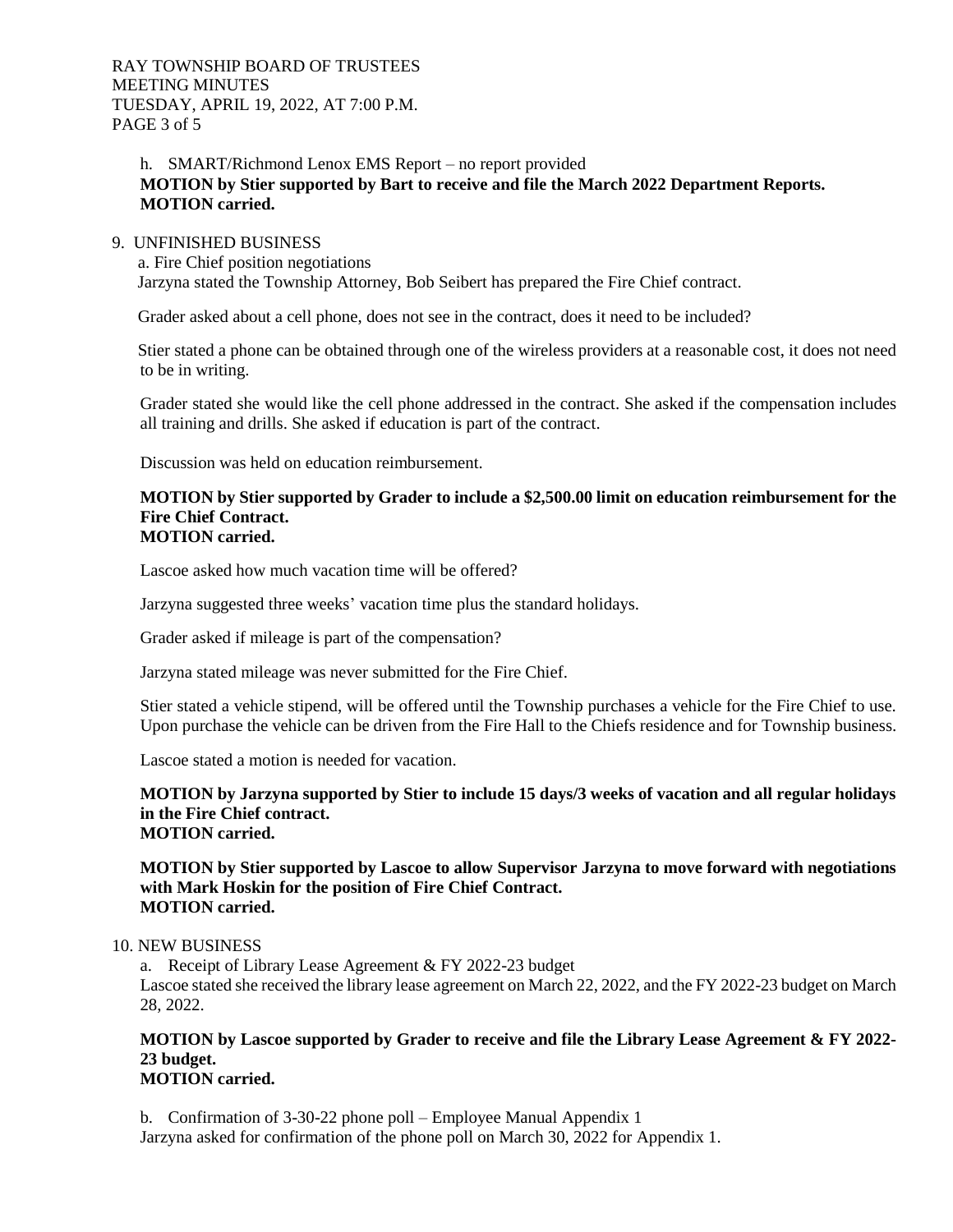# h. SMART/Richmond Lenox EMS Report – no report provided **MOTION by Stier supported by Bart to receive and file the March 2022 Department Reports. MOTION carried.**

#### 9. UNFINISHED BUSINESS

 a. Fire Chief position negotiations Jarzyna stated the Township Attorney, Bob Seibert has prepared the Fire Chief contract.

Grader asked about a cell phone, does not see in the contract, does it need to be included?

 Stier stated a phone can be obtained through one of the wireless providers at a reasonable cost, it does not need to be in writing.

Grader stated she would like the cell phone addressed in the contract. She asked if the compensation includes all training and drills. She asked if education is part of the contract.

Discussion was held on education reimbursement.

#### **MOTION by Stier supported by Grader to include a \$2,500.00 limit on education reimbursement for the Fire Chief Contract. MOTION carried.**

Lascoe asked how much vacation time will be offered?

Jarzyna suggested three weeks' vacation time plus the standard holidays.

Grader asked if mileage is part of the compensation?

Jarzyna stated mileage was never submitted for the Fire Chief.

Stier stated a vehicle stipend, will be offered until the Township purchases a vehicle for the Fire Chief to use. Upon purchase the vehicle can be driven from the Fire Hall to the Chiefs residence and for Township business.

Lascoe stated a motion is needed for vacation.

**MOTION by Jarzyna supported by Stier to include 15 days/3 weeks of vacation and all regular holidays in the Fire Chief contract. MOTION carried.** 

**MOTION by Stier supported by Lascoe to allow Supervisor Jarzyna to move forward with negotiations with Mark Hoskin for the position of Fire Chief Contract. MOTION carried.** 

#### 10. NEW BUSINESS

a. Receipt of Library Lease Agreement & FY 2022-23 budget Lascoe stated she received the library lease agreement on March 22, 2022, and the FY 2022-23 budget on March 28, 2022.

# **MOTION by Lascoe supported by Grader to receive and file the Library Lease Agreement & FY 2022- 23 budget.**

# **MOTION carried.**

b. Confirmation of 3-30-22 phone poll – Employee Manual Appendix 1 Jarzyna asked for confirmation of the phone poll on March 30, 2022 for Appendix 1.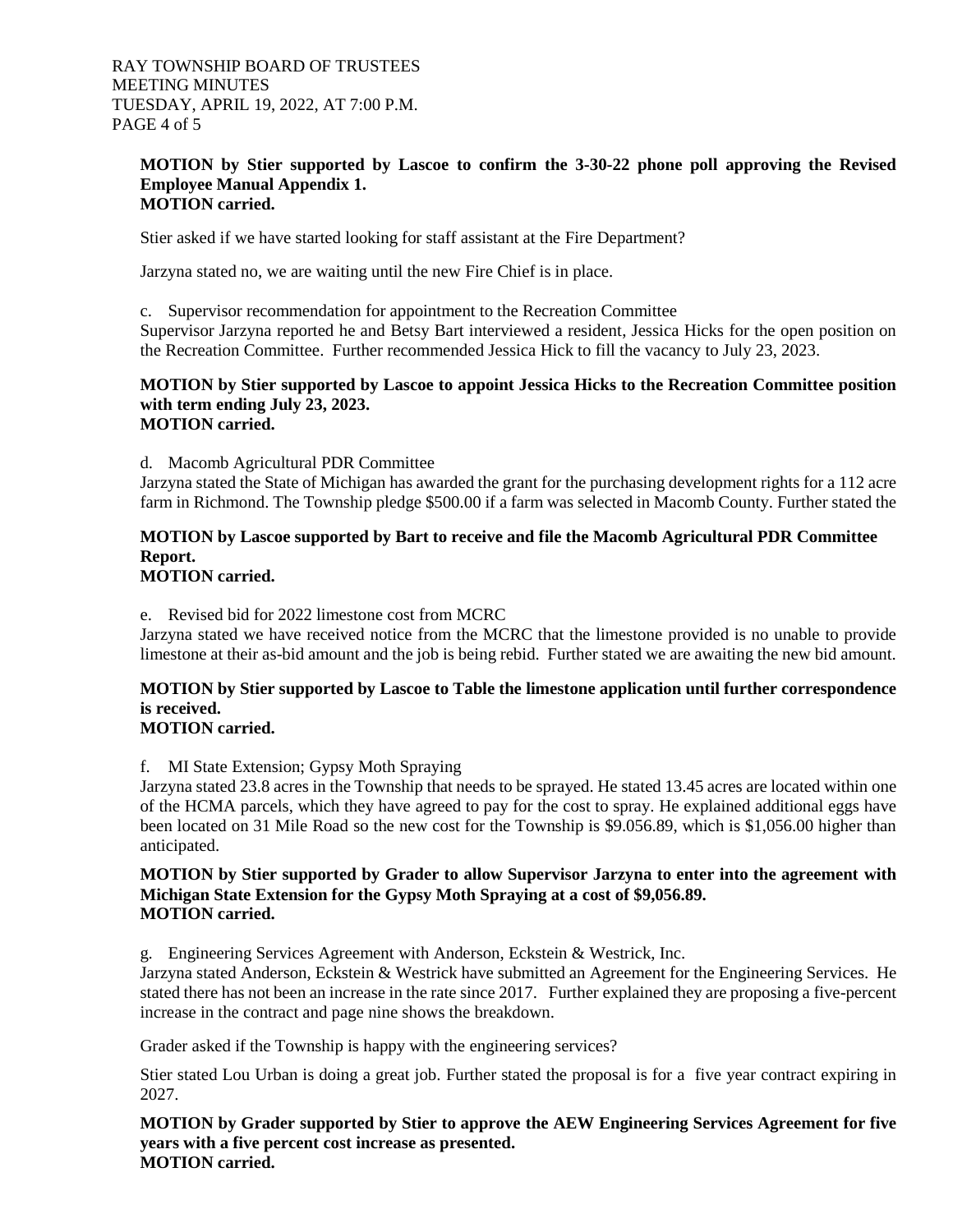#### **MOTION by Stier supported by Lascoe to confirm the 3-30-22 phone poll approving the Revised Employee Manual Appendix 1. MOTION carried.**

Stier asked if we have started looking for staff assistant at the Fire Department?

Jarzyna stated no, we are waiting until the new Fire Chief is in place.

c. Supervisor recommendation for appointment to the Recreation Committee Supervisor Jarzyna reported he and Betsy Bart interviewed a resident, Jessica Hicks for the open position on the Recreation Committee. Further recommended Jessica Hick to fill the vacancy to July 23, 2023.

#### **MOTION by Stier supported by Lascoe to appoint Jessica Hicks to the Recreation Committee position with term ending July 23, 2023. MOTION carried.**

d. Macomb Agricultural PDR Committee

Jarzyna stated the State of Michigan has awarded the grant for the purchasing development rights for a 112 acre farm in Richmond. The Township pledge \$500.00 if a farm was selected in Macomb County. Further stated the

# **MOTION by Lascoe supported by Bart to receive and file the Macomb Agricultural PDR Committee Report.**

# **MOTION carried.**

e. Revised bid for 2022 limestone cost from MCRC

Jarzyna stated we have received notice from the MCRC that the limestone provided is no unable to provide limestone at their as-bid amount and the job is being rebid. Further stated we are awaiting the new bid amount.

# **MOTION by Stier supported by Lascoe to Table the limestone application until further correspondence is received.**

# **MOTION carried.**

f. MI State Extension; Gypsy Moth Spraying

Jarzyna stated 23.8 acres in the Township that needs to be sprayed. He stated 13.45 acres are located within one of the HCMA parcels, which they have agreed to pay for the cost to spray. He explained additional eggs have been located on 31 Mile Road so the new cost for the Township is \$9.056.89, which is \$1,056.00 higher than anticipated.

#### **MOTION by Stier supported by Grader to allow Supervisor Jarzyna to enter into the agreement with Michigan State Extension for the Gypsy Moth Spraying at a cost of \$9,056.89. MOTION carried.**

g. Engineering Services Agreement with Anderson, Eckstein & Westrick, Inc.

Jarzyna stated Anderson, Eckstein & Westrick have submitted an Agreement for the Engineering Services. He stated there has not been an increase in the rate since 2017. Further explained they are proposing a five-percent increase in the contract and page nine shows the breakdown.

Grader asked if the Township is happy with the engineering services?

Stier stated Lou Urban is doing a great job. Further stated the proposal is for a five year contract expiring in 2027.

**MOTION by Grader supported by Stier to approve the AEW Engineering Services Agreement for five years with a five percent cost increase as presented. MOTION carried.**